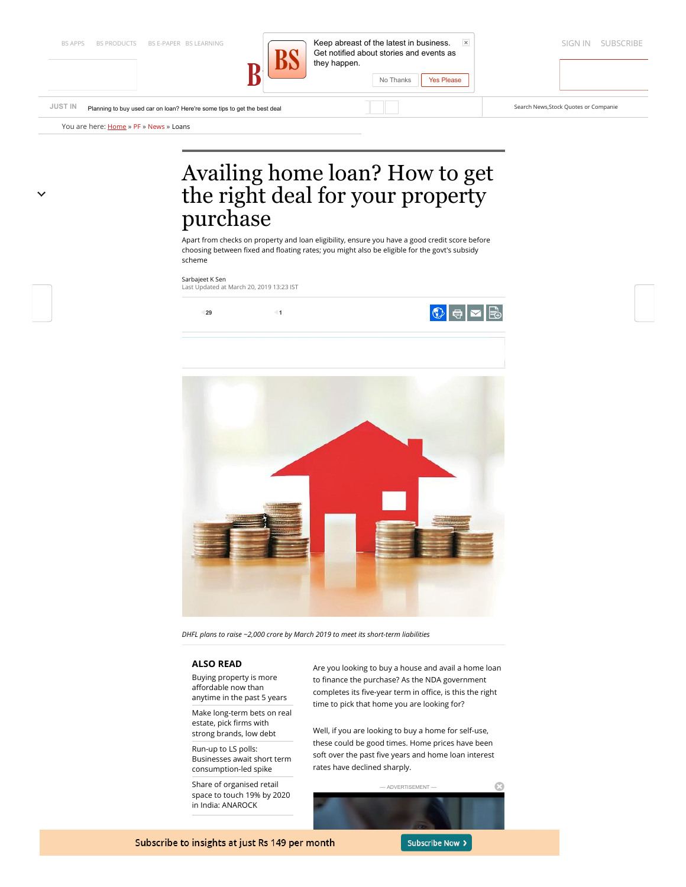

BS APPS BS PRODUCTS [BS E-PAPER](http://epaper.business-standard.com/) [BS LEARNING](https://www.business-standard.com/bslearning) **Sign in Subset of the latest in busin[ess.](http://www.facebook.com/bsindia)** Et al. Subset and the subset of the latest in business. In the subset of the latest in business. In the subset of the latest in busine Get notified about stories and events a[s](https://plus.google.com/105513640026823338822) [they happen.](https://www.business-standard.com/) No Thanks Yes Please

**[JUST IN](https://www.business-standard.com/latest-news/)** [Planning to buy used car on loan? Here're some tips to get the best deal](https://www.business-standard.com/article/free-newsletter/a-snapshot-of-pre-owned-owned-car-loan-rates-offered-by-various-banks-119031500154_1.html) Search News, Stock Quotes or Companie

You are here: **[Home](https://www.business-standard.com/)** » [PF](https://www.business-standard.com/pf) » [News](https://www.business-standard.com/pf-news) » [Loans](https://www.business-standard.com/pf-news-loans)

# Availing home loan? How to get the right deal for your property purchase

Apart from checks on property and loan eligibility, ensure you have a good credit score before choosing between fixed and floating rates; you might also be eligible for the govt's subsidy scheme

#### [Sarbajeet K Sen](https://www.business-standard.com/author/search/keyword/sarbajeet-k-sen)

Last Updated at March 20, 2019 13:23 IST



*DHFL plans to raise ~2,000 crore by March 2019 to meet its short-term liabilities*

# **ALSO READ**

Buying property is more affordable now than [anytime in the past 5 years](https://www.business-standard.com/article/pf/buying-property-is-more-affordable-now-than-anytime-in-the-past-5-years-118121300013_1.html)

[Make long-term bets on real](https://www.business-standard.com/article/pf/make-long-term-bets-on-real-estate-pick-firms-with-strong-brands-low-debt-119012801464_1.html) estate, pick firms with strong brands, low debt

Run-up to LS polls: [Businesses await short term](https://www.business-standard.com/article/elections/run-up-to-ls-polls-businesses-await-short-term-consumption-led-spike-119030800013_1.html) consumption-led spike

Share of organised retail [space to touch 19% by 2020](https://www.business-standard.com/article/companies/share-of-organised-retail-space-to-touch-19-by-2020-in-india-anarock-119012600396_1.html) in India: ANAROCK

Are you looking to buy a house and avail a home loan to finance the purchase? As the NDA government completes its five-year term in office, is this the right time to pick that home you are looking for?

Well, if you are looking to buy a home for self-use, these could be good times. Home prices have been soft over the past five years and home loan interest rates have declined sharply.



Subscribe to insights at just Rs 149 per month

Subscribe Now >